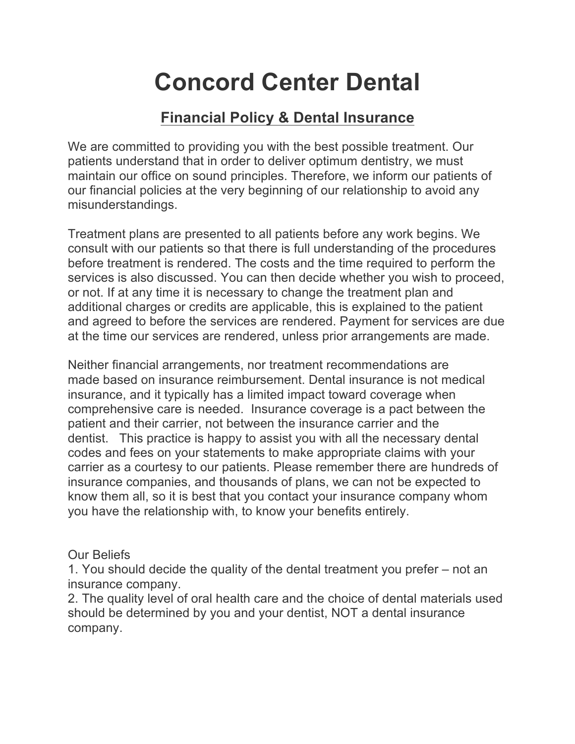# **Concord Center Dental**

# **Financial Policy & Dental Insurance**

We are committed to providing you with the best possible treatment. Our patients understand that in order to deliver optimum dentistry, we must maintain our office on sound principles. Therefore, we inform our patients of our financial policies at the very beginning of our relationship to avoid any misunderstandings.

Treatment plans are presented to all patients before any work begins. We consult with our patients so that there is full understanding of the procedures before treatment is rendered. The costs and the time required to perform the services is also discussed. You can then decide whether you wish to proceed, or not. If at any time it is necessary to change the treatment plan and additional charges or credits are applicable, this is explained to the patient and agreed to before the services are rendered. Payment for services are due at the time our services are rendered, unless prior arrangements are made.

Neither financial arrangements, nor treatment recommendations are made based on insurance reimbursement. Dental insurance is not medical insurance, and it typically has a limited impact toward coverage when comprehensive care is needed. Insurance coverage is a pact between the patient and their carrier, not between the insurance carrier and the dentist. This practice is happy to assist you with all the necessary dental codes and fees on your statements to make appropriate claims with your carrier as a courtesy to our patients. Please remember there are hundreds of insurance companies, and thousands of plans, we can not be expected to know them all, so it is best that you contact your insurance company whom you have the relationship with, to know your benefits entirely.

## Our Beliefs

1. You should decide the quality of the dental treatment you prefer – not an insurance company.

2. The quality level of oral health care and the choice of dental materials used should be determined by you and your dentist, NOT a dental insurance company.